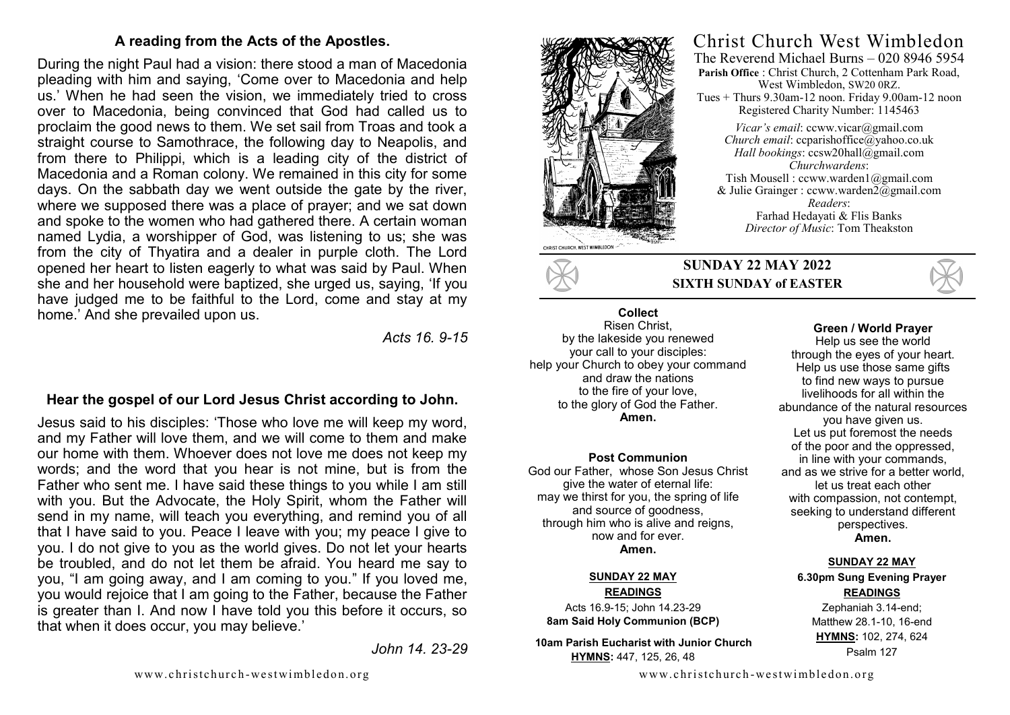## **A reading from the Acts of the Apostles.**

During the night Paul had a vision: there stood a man of Macedonia pleading with him and saying, 'Come over to Macedonia and help us.' When he had seen the vision, we immediately tried to cross over to Macedonia, being convinced that God had called us to proclaim the good news to them. We set sail from Troas and took a straight course to Samothrace, the following day to Neapolis, and from there to Philippi, which is a leading city of the district of Macedonia and a Roman colony. We remained in this city for some days. On the sabbath day we went outside the gate by the river, where we supposed there was a place of prayer; and we sat down and spoke to the women who had gathered there. A certain woman named Lydia, a worshipper of God, was listening to us; she was from the city of Thyatira and a dealer in purple cloth. The Lord opened her heart to listen eagerly to what was said by Paul. When she and her household were baptized, she urged us, saying, 'If you have judged me to be faithful to the Lord, come and stay at my home.' And she prevailed upon us.

*Acts 16. 9-15*

# **Hear the gospel of our Lord Jesus Christ according to John.**

Jesus said to his disciples: 'Those who love me will keep my word, and my Father will love them, and we will come to them and make our home with them. Whoever does not love me does not keep my words; and the word that you hear is not mine, but is from the Father who sent me. I have said these things to you while I am still with you. But the Advocate, the Holy Spirit, whom the Father will send in my name, will teach you everything, and remind you of all that I have said to you. Peace I leave with you; my peace I give to you. I do not give to you as the world gives. Do not let your hearts be troubled, and do not let them be afraid. You heard me say to you, "I am going away, and I am coming to you." If you loved me, you would rejoice that I am going to the Father, because the Father is greater than I. And now I have told you this before it occurs, so that when it does occur, you may believe.'

*John 14. 23-29*



## Christ Church West Wimbledon The Reverend Michael Burns – 020 8946 5954

**Parish Office** : Christ Church, 2 Cottenham Park Road, West Wimbledon, SW20 0RZ. Tues + Thurs 9.30am-12 noon. Friday 9.00am-12 noon Registered Charity Number: 1145463

*Vicar's email*: ccww.vicar@gmail.com *Church email:* ccparishoffice@yahoo.co.uk *Hall bookings*: ccsw20hall@gmail.com *Churchwardens*: Tish Mousell : ccww.warden1@gmail.com & Julie Grainger : ccww.warden2@gmail.com *Readers*: Farhad Hedayati & Flis Banks *Director of Music*: Tom Theakston



## **SUNDAY 22 MAY 2022 SIXTH SUNDAY of EASTER**

#### **Collect**  Risen Christ, by the lakeside you renewed your call to your disciples: help your Church to obey your command and draw the nations to the fire of your love, to the glory of God the Father. **Amen.**

#### **Post Communion**

God our Father, whose Son Jesus Christ give the water of eternal life: may we thirst for you, the spring of life and source of goodness, through him who is alive and reigns. now and for ever. **Amen.**

#### **SUNDAY 22 MAY READINGS**

Acts 16.9-15; John 14.23-29 **8am Said Holy Communion (BCP)** 

 **10am Parish Eucharist with Junior Church HYMNS:** 447, 125, 26, 48



#### **Green / World Prayer**

Help us see the world through the eyes of your heart. Help us use those same gifts to find new ways to pursue livelihoods for all within the abundance of the natural resources you have given us. Let us put foremost the needs of the poor and the oppressed, in line with your commands, and as we strive for a better world, let us treat each other with compassion, not contempt, seeking to understand different perspectives. **Amen.**

#### **SUNDAY 22 MAY**

**6.30pm Sung Evening Prayer READINGS**

Zephaniah 3.14-end; Matthew 28.1-10, 16-end **HYMNS:** 102, 274, 624 Psalm 127